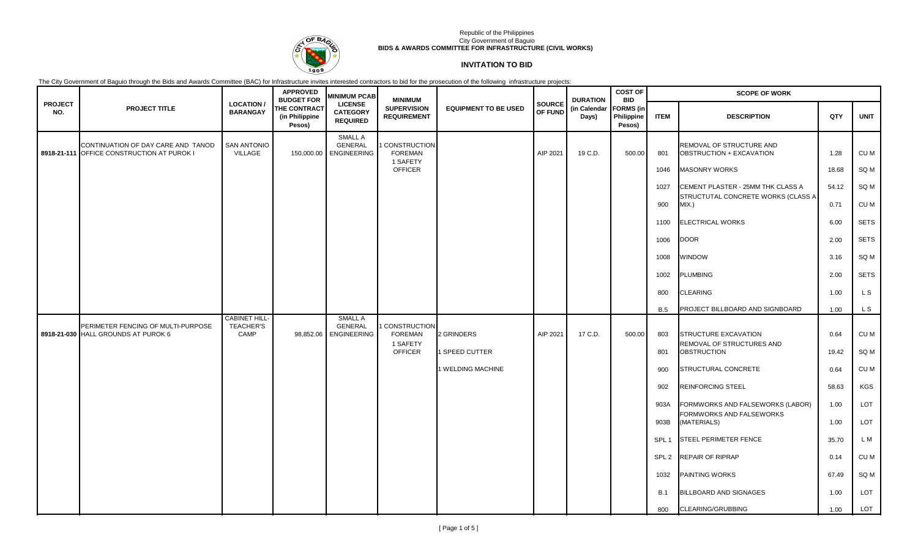

# **INVITATION TO BID**

|                       |                                                                                  |                                                 | <b>APPROVED</b><br><b>BUDGET FOR</b>            | <b>MINIMUM PCAB</b>                                  | <b>MINIMUM</b>                                               |                              |                          | <b>DURATION</b>       | <b>COST OF</b><br><b>BID</b>             | <b>SCOPE OF WORK</b> |                                                                                     |               |              |  |
|-----------------------|----------------------------------------------------------------------------------|-------------------------------------------------|-------------------------------------------------|------------------------------------------------------|--------------------------------------------------------------|------------------------------|--------------------------|-----------------------|------------------------------------------|----------------------|-------------------------------------------------------------------------------------|---------------|--------------|--|
| <b>PROJECT</b><br>NO. | <b>PROJECT TITLE</b>                                                             | <b>LOCATION/</b><br><b>BARANGAY</b>             | <b>THE CONTRACT</b><br>(in Philippine<br>Pesos) | <b>LICENSE</b><br><b>CATEGORY</b><br><b>REQUIRED</b> | <b>SUPERVISION</b><br><b>REQUIREMENT</b>                     | <b>EQUIPMENT TO BE USED</b>  | <b>SOURCE</b><br>OF FUND | (in Calendar<br>Days) | <b>FORMS</b> (in<br>Philippine<br>Pesos) | <b>ITEM</b>          | <b>DESCRIPTION</b>                                                                  | QTY           | <b>UNIT</b>  |  |
|                       | CONTINUATION OF DAY CARE AND TANOD<br>8918-21-111 OFFICE CONSTRUCTION AT PUROK I | <b>SAN ANTONIO</b><br>VILLAGE                   |                                                 | <b>SMALL A</b><br>GENERAL<br>150,000.00 ENGINEERING  | CONSTRUCTION<br>FOREMAN<br>1 SAFETY                          |                              | AIP 2021                 | 19 C.D.               | 500.00                                   | 801                  | REMOVAL OF STRUCTURE AND<br>OBSTRUCTION + EXCAVATION                                | 1.28          | CU M         |  |
|                       |                                                                                  |                                                 |                                                 |                                                      | <b>OFFICER</b>                                               |                              |                          |                       |                                          | 1046                 | <b>MASONRY WORKS</b>                                                                | 18.68         | SQ M         |  |
|                       |                                                                                  |                                                 |                                                 |                                                      |                                                              |                              |                          |                       |                                          | 1027<br>900          | CEMENT PLASTER - 25MM THK CLASS A<br>STRUCTUTAL CONCRETE WORKS (CLASS A<br>$MIX.$ ) | 54.12<br>0.71 | SQ M<br>CU M |  |
|                       |                                                                                  |                                                 |                                                 |                                                      |                                                              |                              |                          |                       |                                          | 1100                 | <b>ELECTRICAL WORKS</b>                                                             | 6.00          | <b>SETS</b>  |  |
|                       |                                                                                  |                                                 |                                                 |                                                      |                                                              |                              |                          |                       |                                          | 1006                 | <b>DOOR</b>                                                                         | 2.00          | <b>SETS</b>  |  |
|                       |                                                                                  |                                                 |                                                 |                                                      |                                                              |                              |                          |                       |                                          | 1008                 | <b>WINDOW</b>                                                                       | 3.16          | SQ M         |  |
|                       |                                                                                  |                                                 |                                                 |                                                      |                                                              |                              |                          |                       |                                          | 1002                 | <b>PLUMBING</b>                                                                     | 2.00          | <b>SETS</b>  |  |
|                       |                                                                                  |                                                 |                                                 |                                                      |                                                              |                              |                          |                       |                                          | 800                  | <b>CLEARING</b>                                                                     | 1.00          | L S          |  |
|                       |                                                                                  |                                                 |                                                 |                                                      |                                                              |                              |                          |                       |                                          | <b>B.5</b>           | PROJECT BILLBOARD AND SIGNBOARD                                                     | 1.00          | L S          |  |
|                       | PERIMETER FENCING OF MULTI-PURPOSE<br>8918-21-030 HALL GROUNDS AT PUROK 6        | <b>CABINET HILL</b><br><b>TEACHER'S</b><br>CAMP | 98,852.06                                       | <b>SMALL A</b><br>GENERAL<br><b>ENGINEERING</b>      | CONSTRUCTION<br><b>FOREMAN</b><br>1 SAFETY<br><b>OFFICER</b> | 2 GRINDERS<br>1 SPEED CUTTER | AIP 2021                 | 17 C.D.               | 500.00                                   | 803<br>801           | STRUCTURE EXCAVATION<br>REMOVAL OF STRUCTURES AND<br><b>OBSTRUCTION</b>             | 0.64<br>19.42 | CU M<br>SQ M |  |
|                       |                                                                                  |                                                 |                                                 |                                                      |                                                              | 1 WELDING MACHINE            |                          |                       |                                          | 900                  | STRUCTURAL CONCRETE                                                                 | 0.64          | CU M         |  |
|                       |                                                                                  |                                                 |                                                 |                                                      |                                                              |                              |                          |                       |                                          | 902                  | <b>REINFORCING STEEL</b>                                                            | 58.63         | KGS          |  |
|                       |                                                                                  |                                                 |                                                 |                                                      |                                                              |                              |                          |                       |                                          | 903A                 | FORMWORKS AND FALSEWORKS (LABOR)<br>FORMWORKS AND FALSEWORKS                        | 1.00          | LOT          |  |
|                       |                                                                                  |                                                 |                                                 |                                                      |                                                              |                              |                          |                       |                                          | 903B                 | (MATERIALS)                                                                         | 1.00          | LOT          |  |
|                       |                                                                                  |                                                 |                                                 |                                                      |                                                              |                              |                          |                       |                                          | SPL <sub>1</sub>     | <b>STEEL PERIMETER FENCE</b>                                                        | 35.70         | L M          |  |
|                       |                                                                                  |                                                 |                                                 |                                                      |                                                              |                              |                          |                       |                                          | SPL <sub>2</sub>     | <b>REPAIR OF RIPRAP</b>                                                             | 0.14          | CU M         |  |
|                       |                                                                                  |                                                 |                                                 |                                                      |                                                              |                              |                          |                       |                                          | 1032                 | <b>PAINTING WORKS</b>                                                               | 67.49         | SQ M         |  |
|                       |                                                                                  |                                                 |                                                 |                                                      |                                                              |                              |                          |                       |                                          | B.1                  | <b>BILLBOARD AND SIGNAGES</b>                                                       | 1.00          | LOT          |  |
|                       |                                                                                  |                                                 |                                                 |                                                      |                                                              |                              |                          |                       |                                          | 800                  | CLEARING/GRUBBING                                                                   | 1.00          | <b>LOT</b>   |  |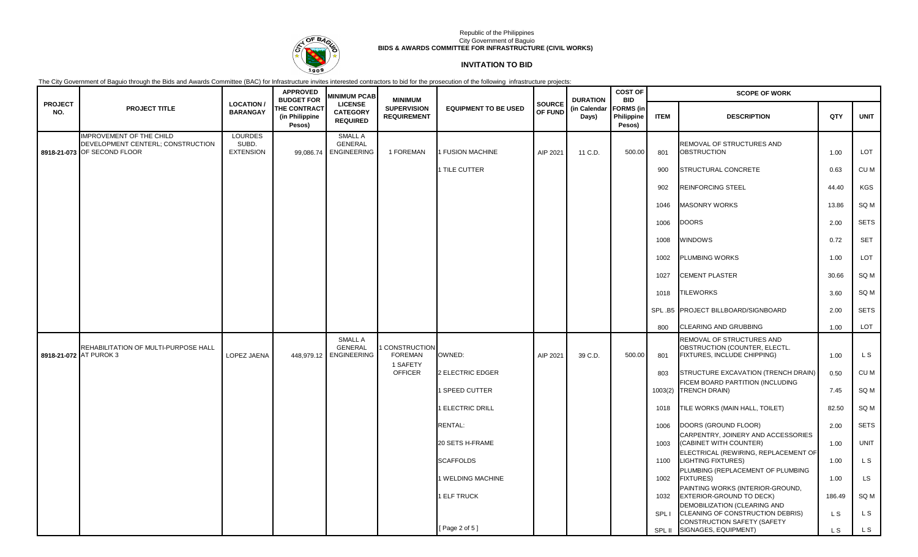

# **INVITATION TO BID**

|                        |                                                                                                     |                                             | <b>APPROVED</b><br><b>BUDGET FOR</b>            | <b>MINIMUM PCAB</b>                                        | <b>MINIMUM</b>                                    |                             |                          | <b>DURATION</b>       | <b>COST OF</b><br><b>BID</b>             | <b>SCOPE OF WORK</b> |                                                                                                                                       |            |             |
|------------------------|-----------------------------------------------------------------------------------------------------|---------------------------------------------|-------------------------------------------------|------------------------------------------------------------|---------------------------------------------------|-----------------------------|--------------------------|-----------------------|------------------------------------------|----------------------|---------------------------------------------------------------------------------------------------------------------------------------|------------|-------------|
| <b>PROJECT</b><br>NO.  | <b>PROJECT TITLE</b>                                                                                | <b>LOCATION /</b><br><b>BARANGAY</b>        | <b>THE CONTRACT</b><br>(in Philippine<br>Pesos) | <b>LICENSE</b><br><b>CATEGORY</b><br><b>REQUIRED</b>       | <b>SUPERVISION</b><br><b>REQUIREMENT</b>          | <b>EQUIPMENT TO BE USED</b> | <b>SOURCE</b><br>OF FUND | (in Calendar<br>Days) | <b>FORMS</b> (in<br>Philippine<br>Pesos) | <b>ITEM</b>          | <b>DESCRIPTION</b>                                                                                                                    | QTY        | <b>UNIT</b> |
|                        | <b>IMPROVEMENT OF THE CHILD</b><br>DEVELOPMENT CENTERL; CONSTRUCTION<br>8918-21-073 OF SECOND FLOOR | <b>LOURDES</b><br>SUBD.<br><b>EXTENSION</b> | 99,086.74                                       | <b>SMALL A</b><br><b>GENERAL</b><br><b>ENGINEERING</b>     | 1 FOREMAN                                         | <b>FUSION MACHINE</b>       | AIP 2021                 | 11 C.D.               | 500.00                                   | 801                  | REMOVAL OF STRUCTURES AND<br><b>OBSTRUCTION</b>                                                                                       | 1.00       | LOT         |
|                        |                                                                                                     |                                             |                                                 |                                                            |                                                   | 1 TILE CUTTER               |                          |                       |                                          | 900                  | STRUCTURAL CONCRETE                                                                                                                   | 0.63       | CU M        |
|                        |                                                                                                     |                                             |                                                 |                                                            |                                                   |                             |                          |                       |                                          | 902                  | <b>REINFORCING STEEL</b>                                                                                                              | 44.40      | <b>KGS</b>  |
|                        |                                                                                                     |                                             |                                                 |                                                            |                                                   |                             |                          |                       |                                          | 1046                 | <b>MASONRY WORKS</b>                                                                                                                  | 13.86      | SQ M        |
|                        |                                                                                                     |                                             |                                                 |                                                            |                                                   |                             |                          |                       |                                          | 1006                 | <b>DOORS</b>                                                                                                                          | 2.00       | <b>SETS</b> |
|                        |                                                                                                     |                                             |                                                 |                                                            |                                                   |                             |                          |                       |                                          | 1008                 | <b>WINDOWS</b>                                                                                                                        | 0.72       | <b>SET</b>  |
|                        |                                                                                                     |                                             |                                                 |                                                            |                                                   |                             |                          |                       |                                          | 1002                 | <b>PLUMBING WORKS</b>                                                                                                                 | 1.00       | LOT         |
|                        |                                                                                                     |                                             |                                                 |                                                            |                                                   |                             |                          |                       |                                          | 1027                 | <b>CEMENT PLASTER</b>                                                                                                                 | 30.66      | SQ M        |
|                        |                                                                                                     |                                             |                                                 |                                                            |                                                   |                             |                          |                       |                                          | 1018                 | <b>TILEWORKS</b>                                                                                                                      | 3.60       | SQ M        |
|                        |                                                                                                     |                                             |                                                 |                                                            |                                                   |                             |                          |                       |                                          |                      | SPL B5 PROJECT BILLBOARD/SIGNBOARD                                                                                                    | 2.00       | <b>SETS</b> |
|                        |                                                                                                     |                                             |                                                 |                                                            |                                                   |                             |                          |                       |                                          | 800                  | CLEARING AND GRUBBING                                                                                                                 | 1.00       | LOT         |
| 8918-21-072 AT PUROK 3 | REHABILITATION OF MULTI-PURPOSE HALL                                                                | LOPEZ JAENA                                 |                                                 | <b>SMALL A</b><br><b>GENERAL</b><br>448.979.12 ENGINEERING | <b>CONSTRUCTION</b><br><b>FOREMAN</b><br>1 SAFETY | OWNED:                      | AIP 2021                 | 39 C.D.               | 500.00                                   | 801                  | REMOVAL OF STRUCTURES AND<br>OBSTRUCTION (COUNTER, ELECTL.<br>FIXTURES, INCLUDE CHIPPING)                                             | 1.00       | L S         |
|                        |                                                                                                     |                                             |                                                 |                                                            | <b>OFFICER</b>                                    | 2 ELECTRIC EDGER            |                          |                       |                                          | 803                  | STRUCTURE EXCAVATION (TRENCH DRAIN)<br>FICEM BOARD PARTITION (INCLUDING                                                               | 0.50       | CU M        |
|                        |                                                                                                     |                                             |                                                 |                                                            |                                                   | 1 SPEED CUTTER              |                          |                       |                                          | 1003(2)              | <b>TRENCH DRAIN)</b>                                                                                                                  | 7.45       | SQ M        |
|                        |                                                                                                     |                                             |                                                 |                                                            |                                                   | <b>ELECTRIC DRILL</b>       |                          |                       |                                          | 1018                 | TILE WORKS (MAIN HALL, TOILET)                                                                                                        | 82.50      | SQ M        |
|                        |                                                                                                     |                                             |                                                 |                                                            |                                                   | <b>RENTAL:</b>              |                          |                       |                                          | 1006                 | DOORS (GROUND FLOOR)                                                                                                                  | 2.00       | <b>SETS</b> |
|                        |                                                                                                     |                                             |                                                 |                                                            |                                                   | 20 SETS H-FRAME             |                          |                       |                                          | 1003                 | CARPENTRY, JOINERY AND ACCESSORIES<br>(CABINET WITH COUNTER)                                                                          | 1.00       | <b>UNIT</b> |
|                        |                                                                                                     |                                             |                                                 |                                                            |                                                   | <b>SCAFFOLDS</b>            |                          |                       |                                          | 1100                 | ELECTRICAL (REWIRING, REPLACEMENT OF<br><b>LIGHTING FIXTURES)</b>                                                                     | 1.00       | L S         |
|                        |                                                                                                     |                                             |                                                 |                                                            |                                                   | 1 WELDING MACHINE           |                          |                       |                                          | 1002                 | PLUMBING (REPLACEMENT OF PLUMBING<br><b>FIXTURES)</b>                                                                                 | 1.00       | <b>LS</b>   |
|                        |                                                                                                     |                                             |                                                 |                                                            |                                                   | 1 ELF TRUCK                 |                          |                       |                                          | 1032                 | PAINTING WORKS (INTERIOR-GROUND,<br>EXTERIOR-GROUND TO DECK)                                                                          | 186.49     | SQ M        |
|                        |                                                                                                     |                                             |                                                 |                                                            |                                                   | [Page 2 of 5]               |                          |                       |                                          | <b>SPLI</b>          | DEMOBILIZATION (CLEARING AND<br>CLEANING OF CONSTRUCTION DEBRIS)<br><b>CONSTRUCTION SAFETY (SAFETY</b><br>SPL II SIGNAGES, EQUIPMENT) | L S<br>L S | L S<br>L S  |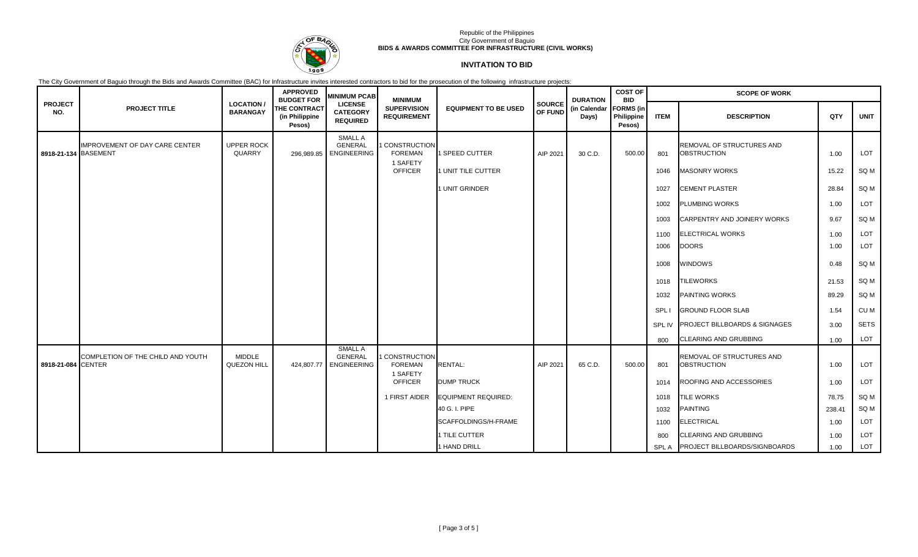

## **INVITATION TO BID**

|                       |                                   |                                     | <b>APPROVED</b><br><b>BUDGET FOR</b>            | <b>MINIMUM PCAB</b>                                    | <b>MINIMUM</b>                                    |                             |                   | <b>DURATION</b>       | <b>COST OF</b><br><b>BID</b>             | <b>SCOPE OF WORK</b> |                                                 |        |             |  |
|-----------------------|-----------------------------------|-------------------------------------|-------------------------------------------------|--------------------------------------------------------|---------------------------------------------------|-----------------------------|-------------------|-----------------------|------------------------------------------|----------------------|-------------------------------------------------|--------|-------------|--|
| <b>PROJECT</b><br>NO. | <b>PROJECT TITLE</b>              | <b>LOCATION/</b><br><b>BARANGAY</b> | <b>THE CONTRACT</b><br>(in Philippine<br>Pesos) | <b>LICENSE</b><br><b>CATEGORY</b><br><b>REQUIRED</b>   | <b>SUPERVISION</b><br><b>REQUIREMENT</b>          | <b>EQUIPMENT TO BE USED</b> | SOURCE<br>OF FUND | (in Calendar<br>Days) | <b>FORMS</b> (in<br>Philippine<br>Pesos) | <b>ITEM</b>          | <b>DESCRIPTION</b>                              | QTY    | <b>UNIT</b> |  |
| 8918-21-134 BASEMENT  | IMPROVEMENT OF DAY CARE CENTER    | UPPER ROCK<br>QUARRY                | 296,989.85                                      | <b>SMALL A</b><br><b>GENERAL</b><br><b>ENGINEERING</b> | <b>CONSTRUCTION</b><br><b>FOREMAN</b>             | 1 SPEED CUTTER              | AIP 2021          | 30 C.D.               | 500.00                                   | 801                  | REMOVAL OF STRUCTURES AND<br><b>OBSTRUCTION</b> | 1.00   | LOT         |  |
|                       |                                   |                                     |                                                 |                                                        | 1 SAFETY<br><b>OFFICER</b>                        | 1 UNIT TILE CUTTER          |                   |                       |                                          | 1046                 | <b>MASONRY WORKS</b>                            | 15.22  | SQ M        |  |
|                       |                                   |                                     |                                                 |                                                        |                                                   | 1 UNIT GRINDER              |                   |                       |                                          | 1027                 | <b>CEMENT PLASTER</b>                           | 28.84  | SQ M        |  |
|                       |                                   |                                     |                                                 |                                                        |                                                   |                             |                   |                       |                                          | 1002                 | <b>PLUMBING WORKS</b>                           | 1.00   | LOT         |  |
|                       |                                   |                                     |                                                 |                                                        |                                                   |                             |                   |                       |                                          | 1003                 | CARPENTRY AND JOINERY WORKS                     | 9.67   | SQ M        |  |
|                       |                                   |                                     |                                                 |                                                        |                                                   |                             |                   |                       |                                          | 1100                 | <b>ELECTRICAL WORKS</b>                         | 1.00   | LOT         |  |
|                       |                                   |                                     |                                                 |                                                        |                                                   |                             |                   |                       |                                          | 1006                 | <b>DOORS</b>                                    | 1.00   | LOT         |  |
|                       |                                   |                                     |                                                 |                                                        |                                                   |                             |                   |                       |                                          | 1008                 | <b>WINDOWS</b>                                  | 0.48   | SQ M        |  |
|                       |                                   |                                     |                                                 |                                                        |                                                   |                             |                   |                       |                                          | 1018                 | <b>TILEWORKS</b>                                | 21.53  | SQ M        |  |
|                       |                                   |                                     |                                                 |                                                        |                                                   |                             |                   |                       |                                          | 1032                 | <b>PAINTING WORKS</b>                           | 89.29  | SQ M        |  |
|                       |                                   |                                     |                                                 |                                                        |                                                   |                             |                   |                       |                                          | SPL I                | <b>GROUND FLOOR SLAB</b>                        | 1.54   | CU M        |  |
|                       |                                   |                                     |                                                 |                                                        |                                                   |                             |                   |                       |                                          | SPL IV               | <b>PROJECT BILLBOARDS &amp; SIGNAGES</b>        | 3.00   | <b>SETS</b> |  |
|                       |                                   |                                     |                                                 |                                                        |                                                   |                             |                   |                       |                                          | 800                  | <b>CLEARING AND GRUBBING</b>                    | 1.00   | LOT         |  |
| 8918-21-084 CENTER    | COMPLETION OF THE CHILD AND YOUTH | <b>MIDDLE</b><br><b>QUEZON HILL</b> | 424,807.77                                      | <b>SMALL A</b><br><b>GENERAL</b><br><b>ENGINEERING</b> | <b>CONSTRUCTION</b><br><b>FOREMAN</b><br>1 SAFETY | <b>RENTAL:</b>              | AIP 2021          | 65 C.D.               | 500.00                                   | 801                  | REMOVAL OF STRUCTURES AND<br><b>OBSTRUCTION</b> | 1.00   | LOT         |  |
|                       |                                   |                                     |                                                 |                                                        | <b>OFFICER</b>                                    | <b>DUMP TRUCK</b>           |                   |                       |                                          | 1014                 | ROOFING AND ACCESSORIES                         | 1.00   | LOT         |  |
|                       |                                   |                                     |                                                 |                                                        | 1 FIRST AIDER                                     | <b>EQUIPMENT REQUIRED:</b>  |                   |                       |                                          | 1018                 | <b>TILE WORKS</b>                               | 78.75  | SQ M        |  |
|                       |                                   |                                     |                                                 |                                                        |                                                   | 40 G. I. PIPE               |                   |                       |                                          | 1032                 | <b>PAINTING</b>                                 | 238.41 | SQ M        |  |
|                       |                                   |                                     |                                                 |                                                        |                                                   | SCAFFOLDINGS/H-FRAME        |                   |                       |                                          | 1100                 | <b>ELECTRICAL</b>                               | 1.00   | LOT         |  |
|                       |                                   |                                     |                                                 |                                                        |                                                   | 1 TILE CUTTER               |                   |                       |                                          | 800                  | CLEARING AND GRUBBING                           | 1.00   | LOT         |  |
|                       |                                   |                                     |                                                 |                                                        |                                                   | 1 HAND DRILL                |                   |                       |                                          |                      | SPL A PROJECT BILLBOARDS/SIGNBOARDS             | 1.00   | LOT         |  |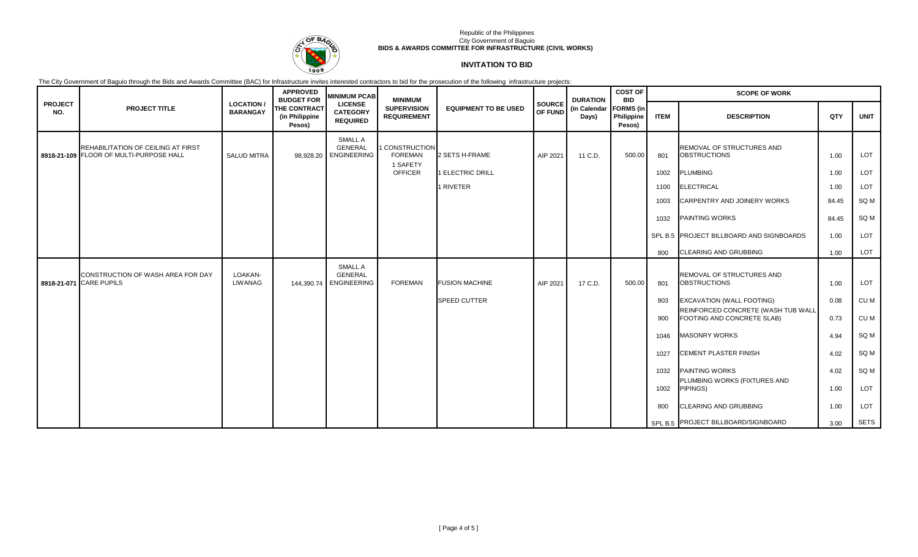

### **INVITATION TO BID**

|                       |                                                                               |                                     | <b>APPROVED</b><br><b>BUDGET FOR</b>     | <b>MINIMUM PCAB</b>                                  | <b>MINIMUM</b>                             |                             |                   | <b>DURATION</b>       | <b>COST OF</b><br><b>BID</b>             | <b>SCOPE OF WORK</b> |                                                                  |       |             |  |
|-----------------------|-------------------------------------------------------------------------------|-------------------------------------|------------------------------------------|------------------------------------------------------|--------------------------------------------|-----------------------------|-------------------|-----------------------|------------------------------------------|----------------------|------------------------------------------------------------------|-------|-------------|--|
| <b>PROJECT</b><br>NO. | <b>PROJECT TITLE</b>                                                          | <b>LOCATION/</b><br><b>BARANGAY</b> | THE CONTRACT<br>(in Philippine<br>Pesos) | <b>LICENSE</b><br><b>CATEGORY</b><br><b>REQUIRED</b> | <b>SUPERVISION</b><br><b>REQUIREMENT</b>   | <b>EQUIPMENT TO BE USED</b> | SOURCE<br>OF FUND | (in Calendar<br>Days) | <b>FORMS</b> (in<br>Philippine<br>Pesos) | <b>ITEM</b>          | <b>DESCRIPTION</b>                                               | QTY   | <b>UNIT</b> |  |
|                       | REHABILITATION OF CEILING AT FIRST<br>8918-21-109 FLOOR OF MULTI-PURPOSE HALL | <b>SALUD MITRA</b>                  |                                          | SMALL A<br><b>GENERAL</b><br>98,928.20 ENGINEERING   | CONSTRUCTION<br><b>FOREMAN</b><br>1 SAFETY | 2 SETS H-FRAME              | AIP 2021          | 11 C.D.               | 500.00                                   | 801                  | REMOVAL OF STRUCTURES AND<br><b>OBSTRUCTIONS</b>                 | 1.00  | LOT         |  |
|                       |                                                                               |                                     |                                          |                                                      | <b>OFFICER</b>                             | 1 ELECTRIC DRILL            |                   |                       |                                          | 1002                 | <b>PLUMBING</b>                                                  | 1.00  | LOT         |  |
|                       |                                                                               |                                     |                                          |                                                      |                                            | 1 RIVETER                   |                   |                       |                                          | 1100                 | ELECTRICAL                                                       | 1.00  | LOT         |  |
|                       |                                                                               |                                     |                                          |                                                      |                                            |                             |                   |                       |                                          | 1003                 | <b>CARPENTRY AND JOINERY WORKS</b>                               | 84.45 | SQ M        |  |
|                       |                                                                               |                                     |                                          |                                                      |                                            |                             |                   |                       |                                          | 1032                 | <b>PAINTING WORKS</b>                                            | 84.45 | SQ M        |  |
|                       |                                                                               |                                     |                                          |                                                      |                                            |                             |                   |                       |                                          |                      | SPL B.5 PROJECT BILLBOARD AND SIGNBOARDS                         | 1.00  | LOT         |  |
|                       |                                                                               |                                     |                                          |                                                      |                                            |                             |                   |                       |                                          | 800                  | <b>CLEARING AND GRUBBING</b>                                     | 1.00  | LOT         |  |
|                       |                                                                               |                                     |                                          | SMALL A                                              |                                            |                             |                   |                       |                                          |                      |                                                                  |       |             |  |
|                       | CONSTRUCTION OF WASH AREA FOR DAY<br>8918-21-071 CARE PUPILS                  | LOAKAN-<br><b>LIWANAG</b>           |                                          | <b>GENERAL</b><br>144,390.74 ENGINEERING             | <b>FOREMAN</b>                             | <b>FUSION MACHINE</b>       | AIP 2021          | 17 C.D.               | 500.00                                   | 801                  | REMOVAL OF STRUCTURES AND<br><b>OBSTRUCTIONS</b>                 | 1.00  | LOT         |  |
|                       |                                                                               |                                     |                                          |                                                      |                                            | <b>SPEED CUTTER</b>         |                   |                       |                                          | 803                  | <b>EXCAVATION (WALL FOOTING)</b>                                 | 0.08  | CU M        |  |
|                       |                                                                               |                                     |                                          |                                                      |                                            |                             |                   |                       |                                          | 900                  | REINFORCED CONCRETE (WASH TUB WALL<br>FOOTING AND CONCRETE SLAB) | 0.73  | CU M        |  |
|                       |                                                                               |                                     |                                          |                                                      |                                            |                             |                   |                       |                                          | 1046                 | <b>MASONRY WORKS</b>                                             | 4.94  | SQ M        |  |
|                       |                                                                               |                                     |                                          |                                                      |                                            |                             |                   |                       |                                          | 1027                 | <b>CEMENT PLASTER FINISH</b>                                     | 4.02  | SQ M        |  |
|                       |                                                                               |                                     |                                          |                                                      |                                            |                             |                   |                       |                                          | 1032                 | <b>PAINTING WORKS</b>                                            | 4.02  | SQ M        |  |
|                       |                                                                               |                                     |                                          |                                                      |                                            |                             |                   |                       |                                          | 1002                 | PLUMBING WORKS (FIXTURES AND<br>PIPINGS)                         | 1.00  | LOT         |  |
|                       |                                                                               |                                     |                                          |                                                      |                                            |                             |                   |                       |                                          | 800                  | <b>CLEARING AND GRUBBING</b>                                     | 1.00  | LOT         |  |
|                       |                                                                               |                                     |                                          |                                                      |                                            |                             |                   |                       |                                          |                      | SPL B.5 PROJECT BILLBOARD/SIGNBOARD                              | 3.00  | <b>SETS</b> |  |